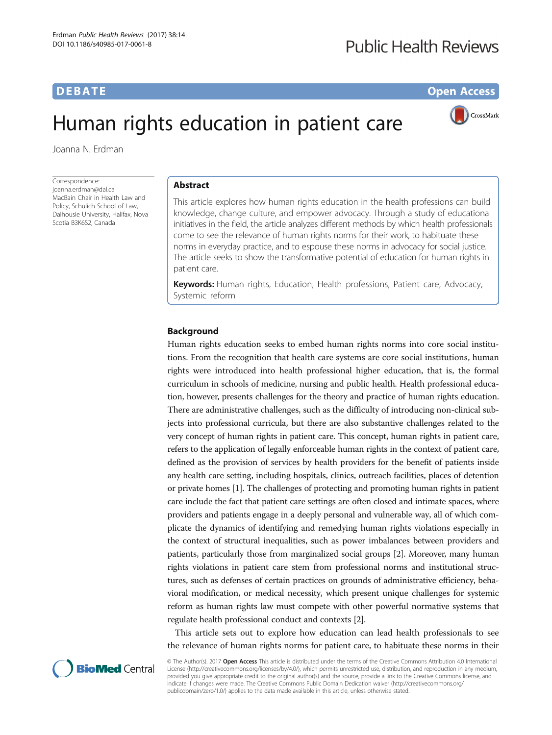# **Public Health Reviews**

**DEBATE CONSERVATION DEBATE** 

CrossMark

# Human rights education in patient care

Joanna N. Erdman

Correspondence [joanna.erdman@dal.ca](mailto:joanna.erdman@dal.ca) MacBain Chair in Health Law and Policy, Schulich School of Law, Dalhousie University, Halifax, Nova Scotia B3K6S2, Canada

# Abstract

This article explores how human rights education in the health professions can build knowledge, change culture, and empower advocacy. Through a study of educational initiatives in the field, the article analyzes different methods by which health professionals come to see the relevance of human rights norms for their work, to habituate these norms in everyday practice, and to espouse these norms in advocacy for social justice. The article seeks to show the transformative potential of education for human rights in patient care.

Keywords: Human rights, Education, Health professions, Patient care, Advocacy, Systemic reform

# Background

Human rights education seeks to embed human rights norms into core social institutions. From the recognition that health care systems are core social institutions, human rights were introduced into health professional higher education, that is, the formal curriculum in schools of medicine, nursing and public health. Health professional education, however, presents challenges for the theory and practice of human rights education. There are administrative challenges, such as the difficulty of introducing non-clinical subjects into professional curricula, but there are also substantive challenges related to the very concept of human rights in patient care. This concept, human rights in patient care, refers to the application of legally enforceable human rights in the context of patient care, defined as the provision of services by health providers for the benefit of patients inside any health care setting, including hospitals, clinics, outreach facilities, places of detention or private homes [[1\]](#page-11-0). The challenges of protecting and promoting human rights in patient care include the fact that patient care settings are often closed and intimate spaces, where providers and patients engage in a deeply personal and vulnerable way, all of which complicate the dynamics of identifying and remedying human rights violations especially in the context of structural inequalities, such as power imbalances between providers and patients, particularly those from marginalized social groups [[2\]](#page-11-0). Moreover, many human rights violations in patient care stem from professional norms and institutional structures, such as defenses of certain practices on grounds of administrative efficiency, behavioral modification, or medical necessity, which present unique challenges for systemic reform as human rights law must compete with other powerful normative systems that regulate health professional conduct and contexts [[2\]](#page-11-0).

This article sets out to explore how education can lead health professionals to see the relevance of human rights norms for patient care, to habituate these norms in their



© The Author(s). 2017 Open Access This article is distributed under the terms of the Creative Commons Attribution 4.0 International License ([http://creativecommons.org/licenses/by/4.0/\)](http://creativecommons.org/licenses/by/4.0/), which permits unrestricted use, distribution, and reproduction in any medium, provided you give appropriate credit to the original author(s) and the source, provide a link to the Creative Commons license, and indicate if changes were made. The Creative Commons Public Domain Dedication waiver ([http://creativecommons.org/](http://creativecommons.org/publicdomain/zero/1.0/) [publicdomain/zero/1.0/\)](http://creativecommons.org/publicdomain/zero/1.0/) applies to the data made available in this article, unless otherwise stated.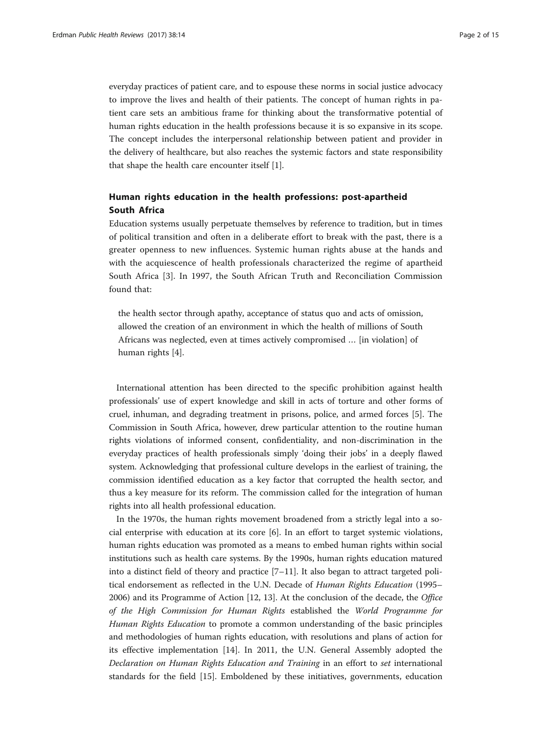everyday practices of patient care, and to espouse these norms in social justice advocacy to improve the lives and health of their patients. The concept of human rights in patient care sets an ambitious frame for thinking about the transformative potential of human rights education in the health professions because it is so expansive in its scope. The concept includes the interpersonal relationship between patient and provider in the delivery of healthcare, but also reaches the systemic factors and state responsibility that shape the health care encounter itself [\[1](#page-11-0)].

# Human rights education in the health professions: post-apartheid South Africa

Education systems usually perpetuate themselves by reference to tradition, but in times of political transition and often in a deliberate effort to break with the past, there is a greater openness to new influences. Systemic human rights abuse at the hands and with the acquiescence of health professionals characterized the regime of apartheid South Africa [[3\]](#page-11-0). In 1997, the South African Truth and Reconciliation Commission found that:

the health sector through apathy, acceptance of status quo and acts of omission, allowed the creation of an environment in which the health of millions of South Africans was neglected, even at times actively compromised … [in violation] of human rights [[4\]](#page-11-0).

International attention has been directed to the specific prohibition against health professionals' use of expert knowledge and skill in acts of torture and other forms of cruel, inhuman, and degrading treatment in prisons, police, and armed forces [[5\]](#page-11-0). The Commission in South Africa, however, drew particular attention to the routine human rights violations of informed consent, confidentiality, and non-discrimination in the everyday practices of health professionals simply 'doing their jobs' in a deeply flawed system. Acknowledging that professional culture develops in the earliest of training, the commission identified education as a key factor that corrupted the health sector, and thus a key measure for its reform. The commission called for the integration of human rights into all health professional education.

In the 1970s, the human rights movement broadened from a strictly legal into a social enterprise with education at its core [\[6](#page-11-0)]. In an effort to target systemic violations, human rights education was promoted as a means to embed human rights within social institutions such as health care systems. By the 1990s, human rights education matured into a distinct field of theory and practice  $[7-11]$  $[7-11]$  $[7-11]$ . It also began to attract targeted political endorsement as reflected in the U.N. Decade of Human Rights Education (1995– 2006) and its Programme of Action [\[12](#page-11-0), [13](#page-12-0)]. At the conclusion of the decade, the Office of the High Commission for Human Rights established the World Programme for Human Rights Education to promote a common understanding of the basic principles and methodologies of human rights education, with resolutions and plans of action for its effective implementation [[14](#page-12-0)]. In 2011, the U.N. General Assembly adopted the Declaration on Human Rights Education and Training in an effort to set international standards for the field [[15\]](#page-12-0). Emboldened by these initiatives, governments, education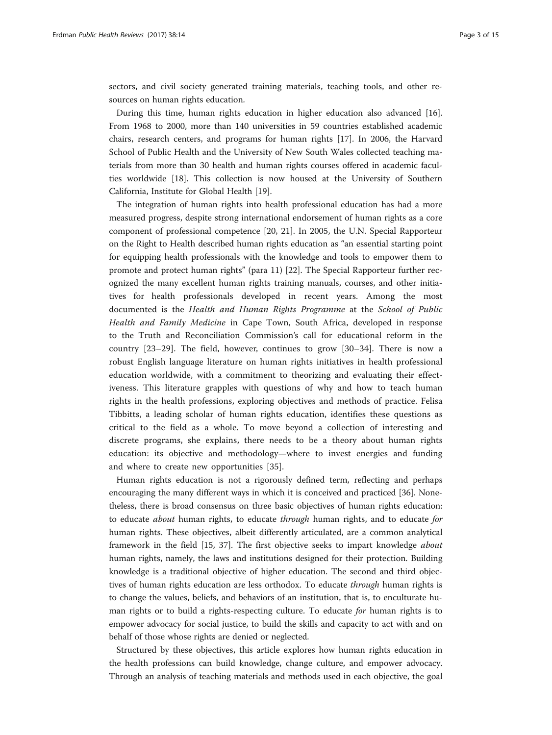sectors, and civil society generated training materials, teaching tools, and other resources on human rights education.

During this time, human rights education in higher education also advanced [[16](#page-12-0)]. From 1968 to 2000, more than 140 universities in 59 countries established academic chairs, research centers, and programs for human rights [\[17\]](#page-12-0). In 2006, the Harvard School of Public Health and the University of New South Wales collected teaching materials from more than 30 health and human rights courses offered in academic faculties worldwide [\[18](#page-12-0)]. This collection is now housed at the University of Southern California, Institute for Global Health [\[19](#page-12-0)].

The integration of human rights into health professional education has had a more measured progress, despite strong international endorsement of human rights as a core component of professional competence [[20, 21](#page-12-0)]. In 2005, the U.N. Special Rapporteur on the Right to Health described human rights education as "an essential starting point for equipping health professionals with the knowledge and tools to empower them to promote and protect human rights" (para 11) [\[22](#page-12-0)]. The Special Rapporteur further recognized the many excellent human rights training manuals, courses, and other initiatives for health professionals developed in recent years. Among the most documented is the Health and Human Rights Programme at the School of Public Health and Family Medicine in Cape Town, South Africa, developed in response to the Truth and Reconciliation Commission's call for educational reform in the country [\[23](#page-12-0)–[29](#page-12-0)]. The field, however, continues to grow [[30](#page-12-0)–[34](#page-12-0)]. There is now a robust English language literature on human rights initiatives in health professional education worldwide, with a commitment to theorizing and evaluating their effectiveness. This literature grapples with questions of why and how to teach human rights in the health professions, exploring objectives and methods of practice. Felisa Tibbitts, a leading scholar of human rights education, identifies these questions as critical to the field as a whole. To move beyond a collection of interesting and discrete programs, she explains, there needs to be a theory about human rights education: its objective and methodology—where to invest energies and funding and where to create new opportunities [[35](#page-12-0)].

Human rights education is not a rigorously defined term, reflecting and perhaps encouraging the many different ways in which it is conceived and practiced [[36](#page-12-0)]. Nonetheless, there is broad consensus on three basic objectives of human rights education: to educate *about* human rights, to educate *through* human rights, and to educate *for* human rights. These objectives, albeit differently articulated, are a common analytical framework in the field [\[15, 37](#page-12-0)]. The first objective seeks to impart knowledge about human rights, namely, the laws and institutions designed for their protection. Building knowledge is a traditional objective of higher education. The second and third objectives of human rights education are less orthodox. To educate *through* human rights is to change the values, beliefs, and behaviors of an institution, that is, to enculturate human rights or to build a rights-respecting culture. To educate for human rights is to empower advocacy for social justice, to build the skills and capacity to act with and on behalf of those whose rights are denied or neglected.

Structured by these objectives, this article explores how human rights education in the health professions can build knowledge, change culture, and empower advocacy. Through an analysis of teaching materials and methods used in each objective, the goal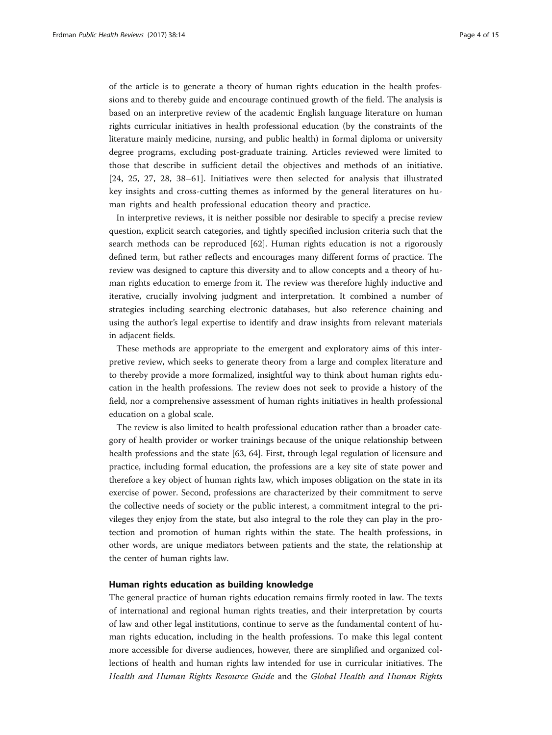of the article is to generate a theory of human rights education in the health professions and to thereby guide and encourage continued growth of the field. The analysis is based on an interpretive review of the academic English language literature on human rights curricular initiatives in health professional education (by the constraints of the literature mainly medicine, nursing, and public health) in formal diploma or university degree programs, excluding post-graduate training. Articles reviewed were limited to those that describe in sufficient detail the objectives and methods of an initiative. [[24, 25](#page-12-0), [27, 28](#page-12-0), [38](#page-12-0)–[61\]](#page-13-0). Initiatives were then selected for analysis that illustrated key insights and cross-cutting themes as informed by the general literatures on human rights and health professional education theory and practice.

In interpretive reviews, it is neither possible nor desirable to specify a precise review question, explicit search categories, and tightly specified inclusion criteria such that the search methods can be reproduced [\[62](#page-13-0)]. Human rights education is not a rigorously defined term, but rather reflects and encourages many different forms of practice. The review was designed to capture this diversity and to allow concepts and a theory of human rights education to emerge from it. The review was therefore highly inductive and iterative, crucially involving judgment and interpretation. It combined a number of strategies including searching electronic databases, but also reference chaining and using the author's legal expertise to identify and draw insights from relevant materials in adjacent fields.

These methods are appropriate to the emergent and exploratory aims of this interpretive review, which seeks to generate theory from a large and complex literature and to thereby provide a more formalized, insightful way to think about human rights education in the health professions. The review does not seek to provide a history of the field, nor a comprehensive assessment of human rights initiatives in health professional education on a global scale.

The review is also limited to health professional education rather than a broader category of health provider or worker trainings because of the unique relationship between health professions and the state [[63](#page-13-0), [64](#page-13-0)]. First, through legal regulation of licensure and practice, including formal education, the professions are a key site of state power and therefore a key object of human rights law, which imposes obligation on the state in its exercise of power. Second, professions are characterized by their commitment to serve the collective needs of society or the public interest, a commitment integral to the privileges they enjoy from the state, but also integral to the role they can play in the protection and promotion of human rights within the state. The health professions, in other words, are unique mediators between patients and the state, the relationship at the center of human rights law.

# Human rights education as building knowledge

The general practice of human rights education remains firmly rooted in law. The texts of international and regional human rights treaties, and their interpretation by courts of law and other legal institutions, continue to serve as the fundamental content of human rights education, including in the health professions. To make this legal content more accessible for diverse audiences, however, there are simplified and organized collections of health and human rights law intended for use in curricular initiatives. The Health and Human Rights Resource Guide and the Global Health and Human Rights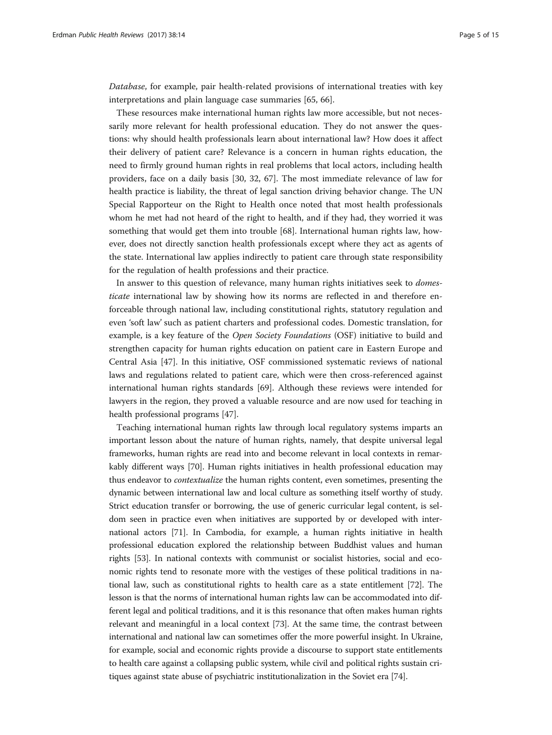Database, for example, pair health-related provisions of international treaties with key interpretations and plain language case summaries [\[65, 66\]](#page-13-0).

These resources make international human rights law more accessible, but not necessarily more relevant for health professional education. They do not answer the questions: why should health professionals learn about international law? How does it affect their delivery of patient care? Relevance is a concern in human rights education, the need to firmly ground human rights in real problems that local actors, including health providers, face on a daily basis [[30](#page-12-0), [32](#page-12-0), [67\]](#page-13-0). The most immediate relevance of law for health practice is liability, the threat of legal sanction driving behavior change. The UN Special Rapporteur on the Right to Health once noted that most health professionals whom he met had not heard of the right to health, and if they had, they worried it was something that would get them into trouble [\[68](#page-13-0)]. International human rights law, however, does not directly sanction health professionals except where they act as agents of the state. International law applies indirectly to patient care through state responsibility for the regulation of health professions and their practice.

In answer to this question of relevance, many human rights initiatives seek to domesticate international law by showing how its norms are reflected in and therefore enforceable through national law, including constitutional rights, statutory regulation and even 'soft law' such as patient charters and professional codes. Domestic translation, for example, is a key feature of the *Open Society Foundations* (OSF) initiative to build and strengthen capacity for human rights education on patient care in Eastern Europe and Central Asia [[47\]](#page-12-0). In this initiative, OSF commissioned systematic reviews of national laws and regulations related to patient care, which were then cross-referenced against international human rights standards [[69\]](#page-13-0). Although these reviews were intended for lawyers in the region, they proved a valuable resource and are now used for teaching in health professional programs [\[47](#page-12-0)].

Teaching international human rights law through local regulatory systems imparts an important lesson about the nature of human rights, namely, that despite universal legal frameworks, human rights are read into and become relevant in local contexts in remarkably different ways [[70](#page-13-0)]. Human rights initiatives in health professional education may thus endeavor to contextualize the human rights content, even sometimes, presenting the dynamic between international law and local culture as something itself worthy of study. Strict education transfer or borrowing, the use of generic curricular legal content, is seldom seen in practice even when initiatives are supported by or developed with international actors [[71\]](#page-13-0). In Cambodia, for example, a human rights initiative in health professional education explored the relationship between Buddhist values and human rights [[53](#page-13-0)]. In national contexts with communist or socialist histories, social and economic rights tend to resonate more with the vestiges of these political traditions in national law, such as constitutional rights to health care as a state entitlement [[72](#page-13-0)]. The lesson is that the norms of international human rights law can be accommodated into different legal and political traditions, and it is this resonance that often makes human rights relevant and meaningful in a local context [\[73\]](#page-13-0). At the same time, the contrast between international and national law can sometimes offer the more powerful insight. In Ukraine, for example, social and economic rights provide a discourse to support state entitlements to health care against a collapsing public system, while civil and political rights sustain critiques against state abuse of psychiatric institutionalization in the Soviet era [\[74\]](#page-13-0).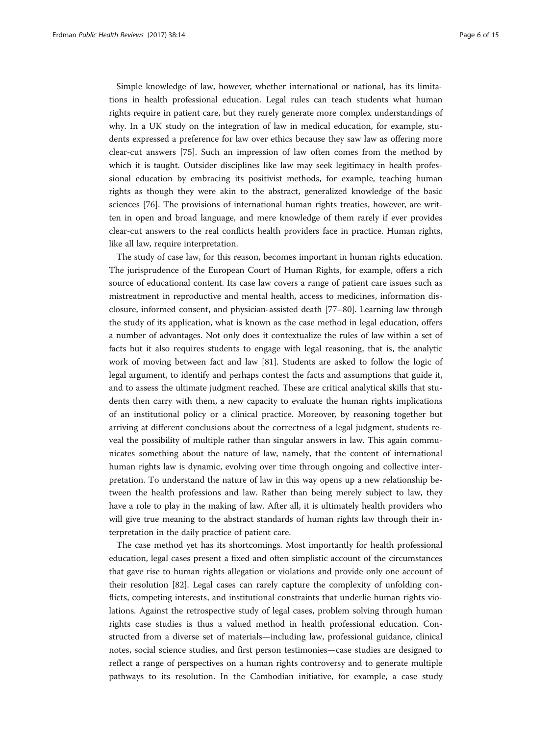Simple knowledge of law, however, whether international or national, has its limitations in health professional education. Legal rules can teach students what human rights require in patient care, but they rarely generate more complex understandings of why. In a UK study on the integration of law in medical education, for example, students expressed a preference for law over ethics because they saw law as offering more clear-cut answers [[75](#page-13-0)]. Such an impression of law often comes from the method by which it is taught. Outsider disciplines like law may seek legitimacy in health professional education by embracing its positivist methods, for example, teaching human rights as though they were akin to the abstract, generalized knowledge of the basic sciences [\[76](#page-13-0)]. The provisions of international human rights treaties, however, are written in open and broad language, and mere knowledge of them rarely if ever provides clear-cut answers to the real conflicts health providers face in practice. Human rights, like all law, require interpretation.

The study of case law, for this reason, becomes important in human rights education. The jurisprudence of the European Court of Human Rights, for example, offers a rich source of educational content. Its case law covers a range of patient care issues such as mistreatment in reproductive and mental health, access to medicines, information disclosure, informed consent, and physician-assisted death [\[77](#page-13-0)–[80\]](#page-13-0). Learning law through the study of its application, what is known as the case method in legal education, offers a number of advantages. Not only does it contextualize the rules of law within a set of facts but it also requires students to engage with legal reasoning, that is, the analytic work of moving between fact and law [[81](#page-13-0)]. Students are asked to follow the logic of legal argument, to identify and perhaps contest the facts and assumptions that guide it, and to assess the ultimate judgment reached. These are critical analytical skills that students then carry with them, a new capacity to evaluate the human rights implications of an institutional policy or a clinical practice. Moreover, by reasoning together but arriving at different conclusions about the correctness of a legal judgment, students reveal the possibility of multiple rather than singular answers in law. This again communicates something about the nature of law, namely, that the content of international human rights law is dynamic, evolving over time through ongoing and collective interpretation. To understand the nature of law in this way opens up a new relationship between the health professions and law. Rather than being merely subject to law, they have a role to play in the making of law. After all, it is ultimately health providers who will give true meaning to the abstract standards of human rights law through their interpretation in the daily practice of patient care.

The case method yet has its shortcomings. Most importantly for health professional education, legal cases present a fixed and often simplistic account of the circumstances that gave rise to human rights allegation or violations and provide only one account of their resolution [[82\]](#page-13-0). Legal cases can rarely capture the complexity of unfolding conflicts, competing interests, and institutional constraints that underlie human rights violations. Against the retrospective study of legal cases, problem solving through human rights case studies is thus a valued method in health professional education. Constructed from a diverse set of materials—including law, professional guidance, clinical notes, social science studies, and first person testimonies—case studies are designed to reflect a range of perspectives on a human rights controversy and to generate multiple pathways to its resolution. In the Cambodian initiative, for example, a case study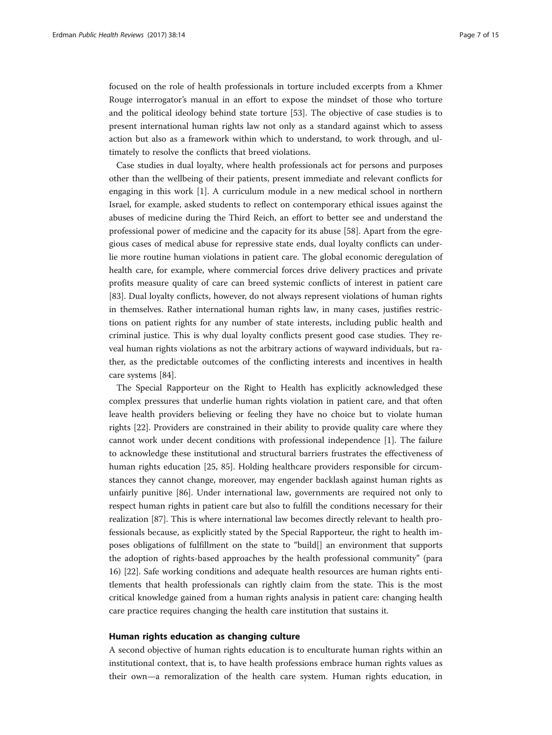focused on the role of health professionals in torture included excerpts from a Khmer Rouge interrogator's manual in an effort to expose the mindset of those who torture and the political ideology behind state torture [[53](#page-13-0)]. The objective of case studies is to present international human rights law not only as a standard against which to assess action but also as a framework within which to understand, to work through, and ultimately to resolve the conflicts that breed violations.

Case studies in dual loyalty, where health professionals act for persons and purposes other than the wellbeing of their patients, present immediate and relevant conflicts for engaging in this work [[1](#page-11-0)]. A curriculum module in a new medical school in northern Israel, for example, asked students to reflect on contemporary ethical issues against the abuses of medicine during the Third Reich, an effort to better see and understand the professional power of medicine and the capacity for its abuse [\[58\]](#page-13-0). Apart from the egregious cases of medical abuse for repressive state ends, dual loyalty conflicts can underlie more routine human violations in patient care. The global economic deregulation of health care, for example, where commercial forces drive delivery practices and private profits measure quality of care can breed systemic conflicts of interest in patient care [[83\]](#page-13-0). Dual loyalty conflicts, however, do not always represent violations of human rights in themselves. Rather international human rights law, in many cases, justifies restrictions on patient rights for any number of state interests, including public health and criminal justice. This is why dual loyalty conflicts present good case studies. They reveal human rights violations as not the arbitrary actions of wayward individuals, but rather, as the predictable outcomes of the conflicting interests and incentives in health care systems [\[84\]](#page-13-0).

The Special Rapporteur on the Right to Health has explicitly acknowledged these complex pressures that underlie human rights violation in patient care, and that often leave health providers believing or feeling they have no choice but to violate human rights [\[22](#page-12-0)]. Providers are constrained in their ability to provide quality care where they cannot work under decent conditions with professional independence [[1\]](#page-11-0). The failure to acknowledge these institutional and structural barriers frustrates the effectiveness of human rights education [\[25,](#page-12-0) [85](#page-13-0)]. Holding healthcare providers responsible for circumstances they cannot change, moreover, may engender backlash against human rights as unfairly punitive [\[86\]](#page-13-0). Under international law, governments are required not only to respect human rights in patient care but also to fulfill the conditions necessary for their realization [\[87](#page-13-0)]. This is where international law becomes directly relevant to health professionals because, as explicitly stated by the Special Rapporteur, the right to health imposes obligations of fulfillment on the state to "build[] an environment that supports the adoption of rights-based approaches by the health professional community" (para 16) [[22\]](#page-12-0). Safe working conditions and adequate health resources are human rights entitlements that health professionals can rightly claim from the state. This is the most critical knowledge gained from a human rights analysis in patient care: changing health care practice requires changing the health care institution that sustains it.

### Human rights education as changing culture

A second objective of human rights education is to enculturate human rights within an institutional context, that is, to have health professions embrace human rights values as their own—a remoralization of the health care system. Human rights education, in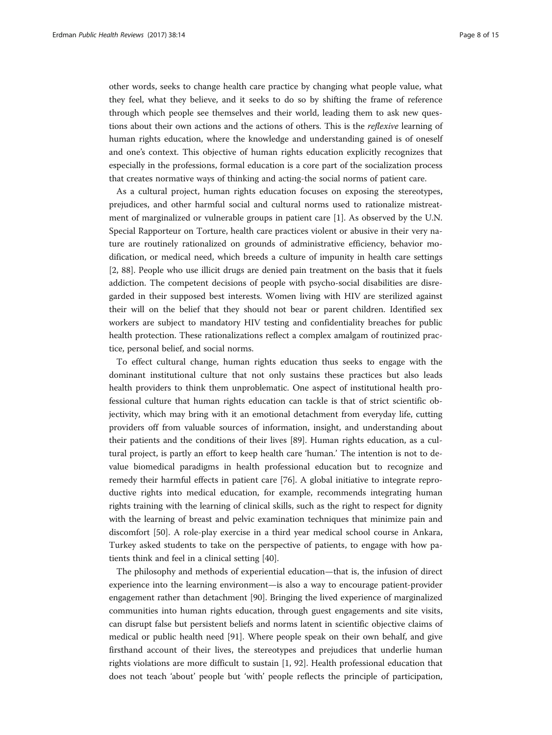other words, seeks to change health care practice by changing what people value, what they feel, what they believe, and it seeks to do so by shifting the frame of reference through which people see themselves and their world, leading them to ask new questions about their own actions and the actions of others. This is the reflexive learning of human rights education, where the knowledge and understanding gained is of oneself and one's context. This objective of human rights education explicitly recognizes that especially in the professions, formal education is a core part of the socialization process that creates normative ways of thinking and acting-the social norms of patient care.

As a cultural project, human rights education focuses on exposing the stereotypes, prejudices, and other harmful social and cultural norms used to rationalize mistreatment of marginalized or vulnerable groups in patient care [[1\]](#page-11-0). As observed by the U.N. Special Rapporteur on Torture, health care practices violent or abusive in their very nature are routinely rationalized on grounds of administrative efficiency, behavior modification, or medical need, which breeds a culture of impunity in health care settings [[2,](#page-11-0) [88\]](#page-14-0). People who use illicit drugs are denied pain treatment on the basis that it fuels addiction. The competent decisions of people with psycho-social disabilities are disregarded in their supposed best interests. Women living with HIV are sterilized against their will on the belief that they should not bear or parent children. Identified sex workers are subject to mandatory HIV testing and confidentiality breaches for public health protection. These rationalizations reflect a complex amalgam of routinized practice, personal belief, and social norms.

To effect cultural change, human rights education thus seeks to engage with the dominant institutional culture that not only sustains these practices but also leads health providers to think them unproblematic. One aspect of institutional health professional culture that human rights education can tackle is that of strict scientific objectivity, which may bring with it an emotional detachment from everyday life, cutting providers off from valuable sources of information, insight, and understanding about their patients and the conditions of their lives [\[89](#page-14-0)]. Human rights education, as a cultural project, is partly an effort to keep health care 'human.' The intention is not to devalue biomedical paradigms in health professional education but to recognize and remedy their harmful effects in patient care [[76](#page-13-0)]. A global initiative to integrate reproductive rights into medical education, for example, recommends integrating human rights training with the learning of clinical skills, such as the right to respect for dignity with the learning of breast and pelvic examination techniques that minimize pain and discomfort [[50](#page-13-0)]. A role-play exercise in a third year medical school course in Ankara, Turkey asked students to take on the perspective of patients, to engage with how patients think and feel in a clinical setting [[40\]](#page-12-0).

The philosophy and methods of experiential education—that is, the infusion of direct experience into the learning environment—is also a way to encourage patient-provider engagement rather than detachment [\[90\]](#page-14-0). Bringing the lived experience of marginalized communities into human rights education, through guest engagements and site visits, can disrupt false but persistent beliefs and norms latent in scientific objective claims of medical or public health need [[91](#page-14-0)]. Where people speak on their own behalf, and give firsthand account of their lives, the stereotypes and prejudices that underlie human rights violations are more difficult to sustain [\[1](#page-11-0), [92](#page-14-0)]. Health professional education that does not teach 'about' people but 'with' people reflects the principle of participation,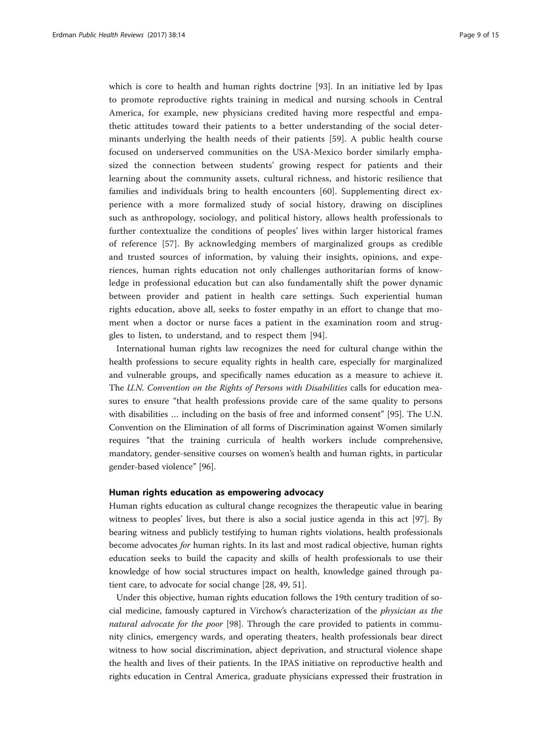which is core to health and human rights doctrine [[93\]](#page-14-0). In an initiative led by Ipas to promote reproductive rights training in medical and nursing schools in Central America, for example, new physicians credited having more respectful and empathetic attitudes toward their patients to a better understanding of the social determinants underlying the health needs of their patients [\[59](#page-13-0)]. A public health course focused on underserved communities on the USA-Mexico border similarly emphasized the connection between students' growing respect for patients and their learning about the community assets, cultural richness, and historic resilience that families and individuals bring to health encounters [\[60](#page-13-0)]. Supplementing direct experience with a more formalized study of social history, drawing on disciplines such as anthropology, sociology, and political history, allows health professionals to further contextualize the conditions of peoples' lives within larger historical frames of reference [[57](#page-13-0)]. By acknowledging members of marginalized groups as credible and trusted sources of information, by valuing their insights, opinions, and experiences, human rights education not only challenges authoritarian forms of knowledge in professional education but can also fundamentally shift the power dynamic between provider and patient in health care settings. Such experiential human rights education, above all, seeks to foster empathy in an effort to change that moment when a doctor or nurse faces a patient in the examination room and struggles to listen, to understand, and to respect them [[94\]](#page-14-0).

International human rights law recognizes the need for cultural change within the health professions to secure equality rights in health care, especially for marginalized and vulnerable groups, and specifically names education as a measure to achieve it. The U.N. Convention on the Rights of Persons with Disabilities calls for education measures to ensure "that health professions provide care of the same quality to persons with disabilities … including on the basis of free and informed consent" [[95\]](#page-14-0). The U.N. Convention on the Elimination of all forms of Discrimination against Women similarly requires "that the training curricula of health workers include comprehensive, mandatory, gender-sensitive courses on women's health and human rights, in particular gender-based violence" [[96\]](#page-14-0).

# Human rights education as empowering advocacy

Human rights education as cultural change recognizes the therapeutic value in bearing witness to peoples' lives, but there is also a social justice agenda in this act [\[97\]](#page-14-0). By bearing witness and publicly testifying to human rights violations, health professionals become advocates for human rights. In its last and most radical objective, human rights education seeks to build the capacity and skills of health professionals to use their knowledge of how social structures impact on health, knowledge gained through patient care, to advocate for social change [\[28, 49,](#page-12-0) [51\]](#page-13-0).

Under this objective, human rights education follows the 19th century tradition of social medicine, famously captured in Virchow's characterization of the physician as the natural advocate for the poor [[98](#page-14-0)]. Through the care provided to patients in community clinics, emergency wards, and operating theaters, health professionals bear direct witness to how social discrimination, abject deprivation, and structural violence shape the health and lives of their patients. In the IPAS initiative on reproductive health and rights education in Central America, graduate physicians expressed their frustration in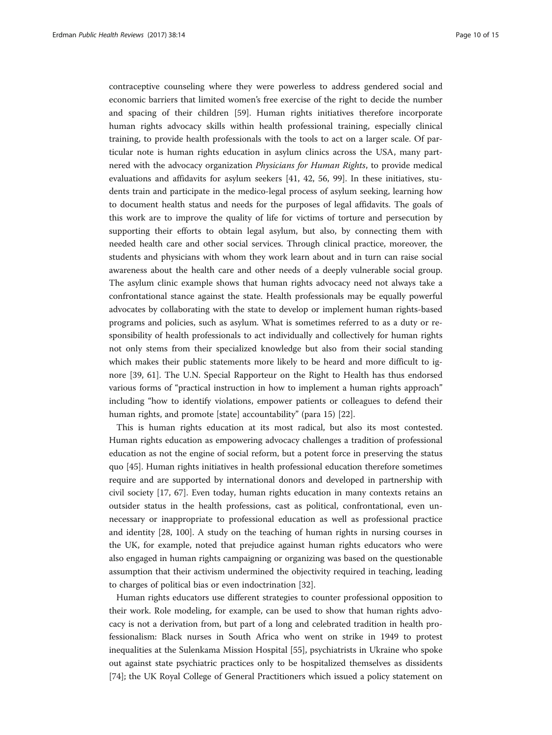contraceptive counseling where they were powerless to address gendered social and economic barriers that limited women's free exercise of the right to decide the number and spacing of their children [\[59\]](#page-13-0). Human rights initiatives therefore incorporate human rights advocacy skills within health professional training, especially clinical training, to provide health professionals with the tools to act on a larger scale. Of particular note is human rights education in asylum clinics across the USA, many partnered with the advocacy organization Physicians for Human Rights, to provide medical evaluations and affidavits for asylum seekers [[41](#page-12-0), [42](#page-12-0), [56](#page-13-0), [99](#page-14-0)]. In these initiatives, students train and participate in the medico-legal process of asylum seeking, learning how to document health status and needs for the purposes of legal affidavits. The goals of this work are to improve the quality of life for victims of torture and persecution by supporting their efforts to obtain legal asylum, but also, by connecting them with needed health care and other social services. Through clinical practice, moreover, the students and physicians with whom they work learn about and in turn can raise social awareness about the health care and other needs of a deeply vulnerable social group. The asylum clinic example shows that human rights advocacy need not always take a confrontational stance against the state. Health professionals may be equally powerful advocates by collaborating with the state to develop or implement human rights-based programs and policies, such as asylum. What is sometimes referred to as a duty or responsibility of health professionals to act individually and collectively for human rights not only stems from their specialized knowledge but also from their social standing which makes their public statements more likely to be heard and more difficult to ignore [\[39,](#page-12-0) [61\]](#page-13-0). The U.N. Special Rapporteur on the Right to Health has thus endorsed various forms of "practical instruction in how to implement a human rights approach" including "how to identify violations, empower patients or colleagues to defend their human rights, and promote [state] accountability" (para 15) [\[22\]](#page-12-0).

This is human rights education at its most radical, but also its most contested. Human rights education as empowering advocacy challenges a tradition of professional education as not the engine of social reform, but a potent force in preserving the status quo [\[45](#page-12-0)]. Human rights initiatives in health professional education therefore sometimes require and are supported by international donors and developed in partnership with civil society [\[17](#page-12-0), [67\]](#page-13-0). Even today, human rights education in many contexts retains an outsider status in the health professions, cast as political, confrontational, even unnecessary or inappropriate to professional education as well as professional practice and identity [\[28,](#page-12-0) [100](#page-14-0)]. A study on the teaching of human rights in nursing courses in the UK, for example, noted that prejudice against human rights educators who were also engaged in human rights campaigning or organizing was based on the questionable assumption that their activism undermined the objectivity required in teaching, leading to charges of political bias or even indoctrination [[32](#page-12-0)].

Human rights educators use different strategies to counter professional opposition to their work. Role modeling, for example, can be used to show that human rights advocacy is not a derivation from, but part of a long and celebrated tradition in health professionalism: Black nurses in South Africa who went on strike in 1949 to protest inequalities at the Sulenkama Mission Hospital [\[55](#page-13-0)], psychiatrists in Ukraine who spoke out against state psychiatric practices only to be hospitalized themselves as dissidents [[74\]](#page-13-0); the UK Royal College of General Practitioners which issued a policy statement on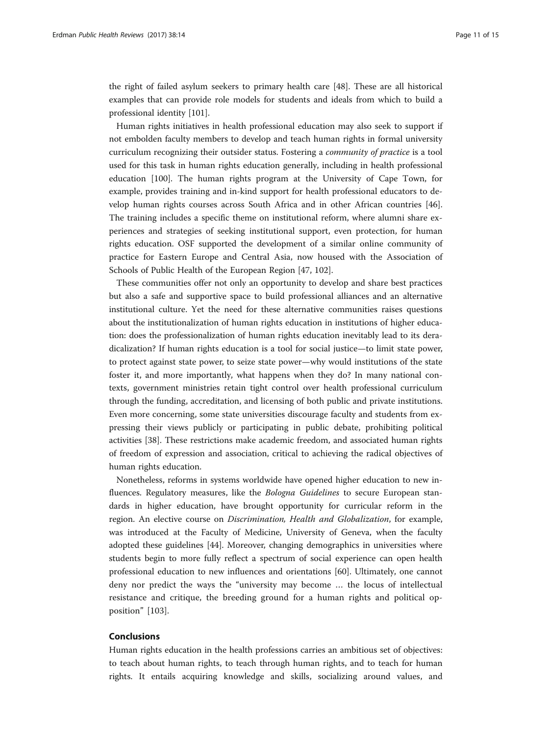the right of failed asylum seekers to primary health care [[48\]](#page-12-0). These are all historical examples that can provide role models for students and ideals from which to build a professional identity [\[101](#page-14-0)].

Human rights initiatives in health professional education may also seek to support if not embolden faculty members to develop and teach human rights in formal university curriculum recognizing their outsider status. Fostering a community of practice is a tool used for this task in human rights education generally, including in health professional education [\[100\]](#page-14-0). The human rights program at the University of Cape Town, for example, provides training and in-kind support for health professional educators to develop human rights courses across South Africa and in other African countries [[46](#page-12-0)]. The training includes a specific theme on institutional reform, where alumni share experiences and strategies of seeking institutional support, even protection, for human rights education. OSF supported the development of a similar online community of practice for Eastern Europe and Central Asia, now housed with the Association of Schools of Public Health of the European Region [[47,](#page-12-0) [102](#page-14-0)].

These communities offer not only an opportunity to develop and share best practices but also a safe and supportive space to build professional alliances and an alternative institutional culture. Yet the need for these alternative communities raises questions about the institutionalization of human rights education in institutions of higher education: does the professionalization of human rights education inevitably lead to its deradicalization? If human rights education is a tool for social justice—to limit state power, to protect against state power, to seize state power—why would institutions of the state foster it, and more importantly, what happens when they do? In many national contexts, government ministries retain tight control over health professional curriculum through the funding, accreditation, and licensing of both public and private institutions. Even more concerning, some state universities discourage faculty and students from expressing their views publicly or participating in public debate, prohibiting political activities [\[38](#page-12-0)]. These restrictions make academic freedom, and associated human rights of freedom of expression and association, critical to achieving the radical objectives of human rights education.

Nonetheless, reforms in systems worldwide have opened higher education to new influences. Regulatory measures, like the *Bologna Guidelines* to secure European standards in higher education, have brought opportunity for curricular reform in the region. An elective course on Discrimination, Health and Globalization, for example, was introduced at the Faculty of Medicine, University of Geneva, when the faculty adopted these guidelines [\[44](#page-12-0)]. Moreover, changing demographics in universities where students begin to more fully reflect a spectrum of social experience can open health professional education to new influences and orientations [\[60](#page-13-0)]. Ultimately, one cannot deny nor predict the ways the "university may become … the locus of intellectual resistance and critique, the breeding ground for a human rights and political opposition" [\[103](#page-14-0)].

# Conclusions

Human rights education in the health professions carries an ambitious set of objectives: to teach about human rights, to teach through human rights, and to teach for human rights. It entails acquiring knowledge and skills, socializing around values, and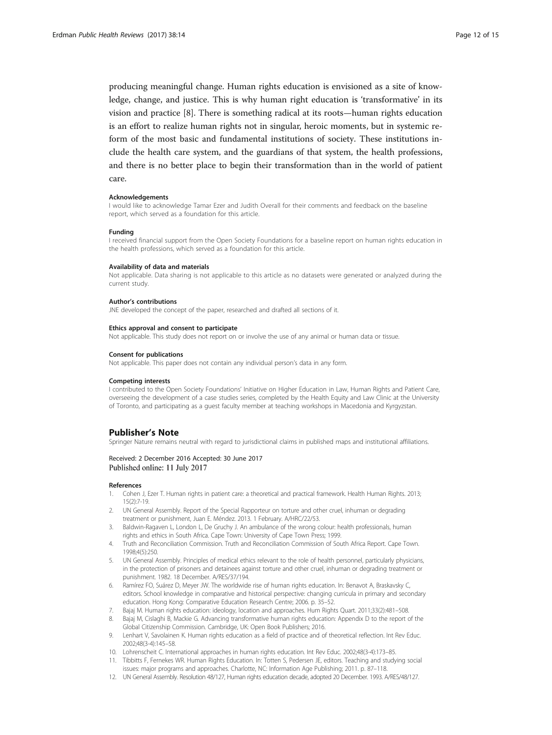<span id="page-11-0"></span>producing meaningful change. Human rights education is envisioned as a site of knowledge, change, and justice. This is why human right education is 'transformative' in its vision and practice [8]. There is something radical at its roots—human rights education is an effort to realize human rights not in singular, heroic moments, but in systemic reform of the most basic and fundamental institutions of society. These institutions include the health care system, and the guardians of that system, the health professions, and there is no better place to begin their transformation than in the world of patient care.

#### **Acknowledgements**

I would like to acknowledge Tamar Ezer and Judith Overall for their comments and feedback on the baseline report, which served as a foundation for this article.

#### Funding

I received financial support from the Open Society Foundations for a baseline report on human rights education in the health professions, which served as a foundation for this article.

#### Availability of data and materials

Not applicable. Data sharing is not applicable to this article as no datasets were generated or analyzed during the current study.

### Author's contributions

JNE developed the concept of the paper, researched and drafted all sections of it.

#### Ethics approval and consent to participate

Not applicable. This study does not report on or involve the use of any animal or human data or tissue.

#### Consent for publications

Not applicable. This paper does not contain any individual person's data in any form.

#### Competing interests

I contributed to the Open Society Foundations' Initiative on Higher Education in Law, Human Rights and Patient Care, overseeing the development of a case studies series, completed by the Health Equity and Law Clinic at the University of Toronto, and participating as a guest faculty member at teaching workshops in Macedonia and Kyrgyzstan.

### Publisher's Note

Springer Nature remains neutral with regard to jurisdictional claims in published maps and institutional affiliations.

## Received: 2 December 2016 Accepted: 30 June 2017 Published online: 11 July 2017

#### References

- 1. Cohen J, Ezer T. Human rights in patient care: a theoretical and practical framework. Health Human Rights. 2013; 15(2):7-19.
- 2. UN General Assembly. Report of the Special Rapporteur on torture and other cruel, inhuman or degrading treatment or punishment, Juan E. Méndez. 2013. 1 February. A/HRC/22/53.
- 3. Baldwin-Ragaven L, London L, De Gruchy J. An ambulance of the wrong colour: health professionals, human rights and ethics in South Africa. Cape Town: University of Cape Town Press; 1999.
- 4. Truth and Reconciliation Commission. Truth and Reconciliation Commission of South Africa Report. Cape Town. 1998;4(5):250.
- 5. UN General Assembly. Principles of medical ethics relevant to the role of health personnel, particularly physicians, in the protection of prisoners and detainees against torture and other cruel, inhuman or degrading treatment or punishment. 1982. 18 December. A/RES/37/194.
- 6. Ramírez FO, Suárez D, Meyer JW. The worldwide rise of human rights education. In: Benavot A, Braskavsky C, editors. School knowledge in comparative and historical perspective: changing curricula in primary and secondary education. Hong Kong: Comparative Education Research Centre; 2006. p. 35–52.
- 7. Bajaj M. Human rights education: ideology, location and approaches. Hum Rights Quart. 2011;33(2):481–508.
- 8. Bajaj M, Cislaghi B, Mackie G. Advancing transformative human rights education: Appendix D to the report of the Global Citizenship Commission. Cambridge, UK: Open Book Publishers; 2016.
- 9. Lenhart V, Savolainen K. Human rights education as a field of practice and of theoretical reflection. Int Rev Educ. 2002;48(3-4):145–58.
- 10. Lohrenscheit C. International approaches in human rights education. Int Rev Educ. 2002;48(3-4):173–85.
- 11. Tibbitts F, Fernekes WR. Human Rights Education. In: Totten S, Pedersen JE, editors. Teaching and studying social issues: major programs and approaches. Charlotte, NC: Information Age Publishing; 2011. p. 87–118.
- 12. UN General Assembly. Resolution 48/127, Human rights education decade, adopted 20 December. 1993. A/RES/48/127.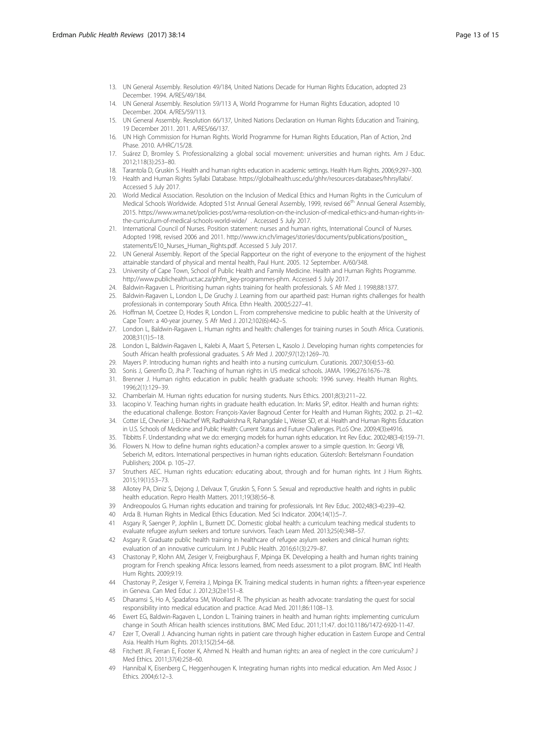- <span id="page-12-0"></span>13. UN General Assembly. Resolution 49/184, United Nations Decade for Human Rights Education, adopted 23 December. 1994. A/RES/49/184.
- 14. UN General Assembly. Resolution 59/113 A, World Programme for Human Rights Education, adopted 10 December. 2004. A/RES/59/113.
- 15. UN General Assembly. Resolution 66/137, United Nations Declaration on Human Rights Education and Training, 19 December 2011. 2011. A/RES/66/137.
- 16. UN High Commission for Human Rights. World Programme for Human Rights Education, Plan of Action, 2nd Phase. 2010. A/HRC/15/28.
- 17. Suárez D, Bromley S. Professionalizing a global social movement: universities and human rights. Am J Educ. 2012;118(3):253–80.
- 18. Tarantola D, Gruskin S. Health and human rights education in academic settings. Health Hum Rights. 2006;9:297–300.
- 19. Health and Human Rights Syllabi Database.<https://globalhealth.usc.edu/ghhr/resources-databases/hhrsyllabi/>. Accessed 5 July 2017.
- 20. World Medical Association. Resolution on the Inclusion of Medical Ethics and Human Rights in the Curriculum of Medical Schools Worldwide. Adopted 51st Annual General Assembly, 1999, revised 66<sup>th</sup> Annual General Assembly, 2015. [https://www.wma.net/policies-post/wma-resolution-on-the-inclusion-of-medical-ethics-and-human-rights-in](http://www.wma.net/en/30publications/10policies/e8/)[the-curriculum-of-medical-schools-world-wide/ .](http://www.wma.net/en/30publications/10policies/e8/) Accessed 5 July 2017.
- 21. International Council of Nurses. Position statement: nurses and human rights, International Council of Nurses. Adopted 1998, revised 2006 and 2011. [http://www.icn.ch/images/stories/documents/publications/position\\_](http://www.icn.ch/images/stories/documents/publications/position_statements/E10_Nurses_Human_Rights.pdf) [statements/E10\\_Nurses\\_Human\\_Rights.pdf](http://www.icn.ch/images/stories/documents/publications/position_statements/E10_Nurses_Human_Rights.pdf). Accessed 5 July 2017.
- 22. UN General Assembly. Report of the Special Rapporteur on the right of everyone to the enjoyment of the highest attainable standard of physical and mental health, Paul Hunt. 2005. 12 September. A/60/348.
- 23. University of Cape Town, School of Public Health and Family Medicine. Health and Human Rights Programme. [http://www.publichealth.uct.ac.za/phfm\\_key-programmes-phm](http://www.publichealth.uct.ac.za/phfm_key-programmes-phm). Accessed 5 July 2017.
- 24. Baldwin-Ragaven L. Prioritising human rights training for health professionals. S Afr Med J. 1998;88:1377.
- 25. Baldwin-Ragaven L, London L, De Gruchy J. Learning from our apartheid past: Human rights challenges for health professionals in contemporary South Africa. Ethn Health. 2000;5:227–41.
- 26. Hoffman M, Coetzee D, Hodes R, London L. From comprehensive medicine to public health at the University of Cape Town: a 40-year journey. S Afr Med J. 2012;102(6):442–5.
- 27. London L, Baldwin-Ragaven L. Human rights and health: challenges for training nurses in South Africa. Curationis. 2008;31(1):5–18.
- 28. London L, Baldwin-Ragaven L, Kalebi A, Maart S, Petersen L, Kasolo J. Developing human rights competencies for South African health professional graduates. S Afr Med J. 2007;97(12):1269–70.
- 29. Mayers P. Introducing human rights and health into a nursing curriculum. Curationis. 2007;30(4):53–60.
- 30. Sonis J, Gerenflo D, Jha P. Teaching of human rights in US medical schools. JAMA. 1996;276:1676–78.
- 31. Brenner J. Human rights education in public health graduate schools: 1996 survey. Health Human Rights. 1996;2(1):129–39.
- 32. Chamberlain M. Human rights education for nursing students. Nurs Ethics. 2001;8(3):211–22.
- 33. Iacopino V. Teaching human rights in graduate health education. In: Marks SP, editor. Health and human rights: the educational challenge. Boston: François-Xavier Bagnoud Center for Health and Human Rights; 2002. p. 21–42.
- 34. Cotter LE, Chevrier J, El-Nachef WR, Radhakrishna R, Rahangdale L, Weiser SD, et al. Health and Human Rights Education in U.S. Schools of Medicine and Public Health: Current Status and Future Challenges. PLoS One. 2009;4(3):e4916.
- 35. Tibbitts F. Understanding what we do: emerging models for human rights education. Int Rev Educ. 2002;48(3-4):159–71.
- 36. Flowers N. How to define human rights education?-a complex answer to a simple question. In: Georgi VB, Seberich M, editors. International perspectives in human rights education. Gütersloh: Bertelsmann Foundation Publishers; 2004. p. 105–27.
- 37 Struthers AEC. Human rights education: educating about, through and for human rights. Int J Hum Rights. 2015;19(1):53–73.
- 38 Allotey PA, Diniz S, Dejong J, Delvaux T, Gruskin S, Fonn S. Sexual and reproductive health and rights in public health education. Repro Health Matters. 2011;19(38):56–8.
- 39 Andreopoulos G. Human rights education and training for professionals. Int Rev Educ. 2002;48(3-4):239–42.
- 40 Arda B. Human Rights in Medical Ethics Education. Med Sci Indicator. 2004;14(1):5–7.
- 41 Asgary R, Saenger P, Jophlin L, Burnett DC. Domestic global health: a curriculum teaching medical students to evaluate refugee asylum seekers and torture survivors. Teach Learn Med. 2013;25(4):348–57.
- 42 Asgary R. Graduate public health training in healthcare of refugee asylum seekers and clinical human rights: evaluation of an innovative curriculum. Int J Public Health. 2016;61(3):279–87.
- 43 Chastonay P, Klohn AM, Zesiger V, Freigburghaus F, Mpinga EK. Developing a health and human rights training program for French speaking Africa: lessons learned, from needs assessment to a pilot program. BMC Intl Health Hum Rights. 2009;9:19.
- 44 Chastonay P, Zesiger V, Ferreira J, Mpinga EK. Training medical students in human rights: a fifteen-year experience in Geneva. Can Med Educ J. 2012;3(2):e151–8.
- 45 Dharamsi S, Ho A, Spadafora SM, Woollard R. The physician as health advocate: translating the quest for social responsibility into medical education and practice. Acad Med. 2011;86:1108–13.
- 46 Ewert EG, Baldwin-Ragaven L, London L. Training trainers in health and human rights: implementing curriculum change in South African health sciences institutions. BMC Med Educ. 2011;11:47. doi:[10.1186/1472-6920-11-47.](http://dx.doi.org/10.1186/1472-6920-11-47)
- 47 Ezer T, Overall J. Advancing human rights in patient care through higher education in Eastern Europe and Central Asia. Health Hum Rights. 2013;15(2):54–68.
- 48 Fitchett JR, Ferran E, Footer K, Ahmed N. Health and human rights: an area of neglect in the core curriculum? J Med Ethics. 2011;37(4):258–60.
- 49 Hannibal K, Eisenberg C, Heggenhougen K. Integrating human rights into medical education. Am Med Assoc J Ethics. 2004;6:12–3.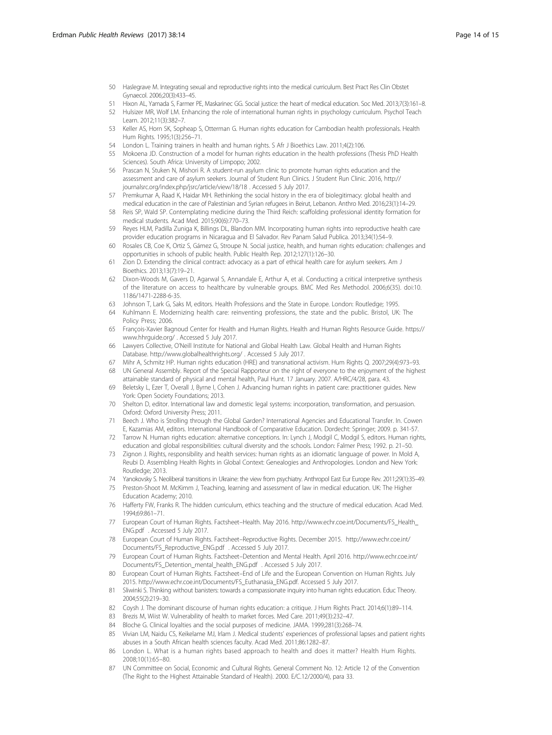- <span id="page-13-0"></span>50 Haslegrave M. Integrating sexual and reproductive rights into the medical curriculum. Best Pract Res Clin Obstet Gynaecol. 2006;20(3):433–45.
- 51 Hixon AL, Yamada S, Farmer PE, Maskarinec GG. Social justice: the heart of medical education. Soc Med. 2013;7(3):161–8.
- 52 Hulsizer MR, Wolf LM. Enhancing the role of international human rights in psychology curriculum. Psychol Teach Learn. 2012;11(3):382–7.
- 53 Keller AS, Horn SK, Sopheap S, Otterman G. Human rights education for Cambodian health professionals. Health Hum Rights. 1995;1(3):256–71.
- 54 London L. Training trainers in health and human rights. S Afr J Bioethics Law. 2011;4(2):106.
- 55 Mokoena JD. Construction of a model for human rights education in the health professions (Thesis PhD Health Sciences). South Africa: University of Limpopo; 2002.
- 56 Prascan N, Stuken N, Mishori R. A student-run asylum clinic to promote human rights education and the assessment and care of asylum seekers. Journal of Student Run Clinics. J Student Run Clinic. 2016, [http://](http://journalsrc.org/article/a-student-run-asylum-clinic-to-promote-human-rights-education-and-the-assessment-and-care-of-asylum-seekers/) [journalsrc.org/index.php/jsrc/article/view/18/18](http://journalsrc.org/article/a-student-run-asylum-clinic-to-promote-human-rights-education-and-the-assessment-and-care-of-asylum-seekers/) . Accessed 5 July 2017.
- 57 Premkumar A, Raad K, Haidar MH. Rethinking the social history in the era of biolegitimacy: global health and medical education in the care of Palestinian and Syrian refugees in Beirut, Lebanon. Anthro Med. 2016;23(1):14–29.
- 58 Reis SP, Wald SP. Contemplating medicine during the Third Reich: scaffolding professional identity formation for medical students. Acad Med. 2015;90(6):770–73.
- 59 Reyes HLM, Padilla Zuniga K, Billings DL, Blandon MM. Incorporating human rights into reproductive health care provider education programs in Nicaragua and El Salvador. Rev Panam Salud Publica. 2013;34(1):54–9.
- 60 Rosales CB, Coe K, Ortiz S, Gámez G, Stroupe N. Social justice, health, and human rights education: challenges and opportunities in schools of public health. Public Health Rep. 2012;127(1):126–30.
- 61 Zion D. Extending the clinical contract: advocacy as a part of ethical health care for asylum seekers. Am J Bioethics. 2013;13(7):19–21.
- 62 Dixon-Woods M, Gavers D, Agarwal S, Annandale E, Arthur A, et al. Conducting a critical interpretive synthesis of the literature on access to healthcare by vulnerable groups. BMC Med Res Methodol. 2006;6(35). doi:[10.](http://dx.doi.org/10.1186/1471-2288-6-35) [1186/1471-2288-6-35](http://dx.doi.org/10.1186/1471-2288-6-35).
- 63 Johnson T, Lark G, Saks M, editors. Health Professions and the State in Europe. London: Routledge; 1995.
- 64 Kuhlmann E. Modernizing health care: reinventing professions, the state and the public. Bristol, UK: The Policy Press; 2006.
- 65 François-Xavier Bagnoud Center for Health and Human Rights. Health and Human Rights Resource Guide. [https://](https://www.hhrguide.org/) [www.hhrguide.org/ .](https://www.hhrguide.org/) Accessed 5 July 2017.
- 66 Lawyers Collective, O'Neill Institute for National and Global Health Law. Global Health and Human Rights Database. [http://www.globalhealthrights.org/ .](http://www.globalhealthrights.org/) Accessed 5 July 2017.
- 67 Mihr A, Schmitz HP. Human rights education (HRE) and transnational activism. Hum Rights Q. 2007;29(4):973–93. 68 UN General Assembly. Report of the Special Rapporteur on the right of everyone to the enjoyment of the highest
- attainable standard of physical and mental health, Paul Hunt. 17 January. 2007. A/HRC/4/28, para. 43. 69 Beletsky L, Ezer T, Overall J, Byrne I, Cohen J. Advancing human rights in patient care: practitioner guides. New York: Open Society Foundations; 2013.
- 70 Shelton D, editor. International law and domestic legal systems: incorporation, transformation, and persuasion. Oxford: Oxford University Press; 2011.
- 71 Beech J. Who is Strolling through the Global Garden? International Agencies and Educational Transfer. In. Cowen E, Kazamias AM, editors. International Handbook of Comparative Education. Dordecht: Springer; 2009. p. 341-57.
- 72 Tarrow N. Human rights education: alternative conceptions. In: Lynch J, Modgil C, Modgil S, editors. Human rights, education and global responsibilities: cultural diversity and the schools. London: Falmer Press; 1992. p. 21–50.
- 73 Zignon J. Rights, responsibility and health services: human rights as an idiomatic language of power. In Mold A, Reubi D. Assembling Health Rights in Global Context: Genealogies and Anthropologies. London and New York: Routledge; 2013.
- 74 Yanokovsky S. Neoliberal transitions in Ukraine: the view from psychiatry. Anthropol East Eur Europe Rev. 2011;29(1):35–49.
- 75 Preston-Shoot M. McKimm J, Teaching, learning and assessment of law in medical education. UK: The Higher Education Academy; 2010.
- 76 Hafferty FW, Franks R. The hidden curriculum, ethics teaching and the structure of medical education. Acad Med. 1994;69:861–71.
- 77 European Court of Human Rights. Factsheet–Health. May 2016. [http://www.echr.coe.int/Documents/FS\\_Health\\_](http://www.echr.coe.int/Documents/FS_Health_ENG.pdf) [ENG.pdf .](http://www.echr.coe.int/Documents/FS_Health_ENG.pdf) Accessed 5 July 2017.
- 78 European Court of Human Rights. Factsheet–Reproductive Rights. December 2015. [http://www.echr.coe.int/](http://www.echr.coe.int/Documents/FS_Reproductive_ENG.pdf) [Documents/FS\\_Reproductive\\_ENG.pdf .](http://www.echr.coe.int/Documents/FS_Reproductive_ENG.pdf) Accessed 5 July 2017.
- 79 European Court of Human Rights. Factsheet–Detention and Mental Health. April 2016. [http://www.echr.coe.int/](http://www.echr.coe.int/Documents/FS_Detention_mental_health_ENG.pdf) [Documents/FS\\_Detention\\_mental\\_health\\_ENG.pdf](http://www.echr.coe.int/Documents/FS_Detention_mental_health_ENG.pdf) . Accessed 5 July 2017.
- 80 European Court of Human Rights. Factsheet–End of Life and the European Convention on Human Rights. July 2015. [http://www.echr.coe.int/Documents/FS\\_Euthanasia\\_ENG.pdf](http://www.echr.coe.int/Documents/FS_Euthanasia_ENG.pdf). Accessed 5 July 2017.
- 81 Sliwinki S. Thinking without banisters: towards a compassionate inquiry into human rights education. Educ Theory. 2004;55(2):219–30.
- 82 Coysh J. The dominant discourse of human rights education: a critique. J Hum Rights Pract. 2014;6(1):89–114.
- 83 Brezis M, Wiist W. Vulnerability of health to market forces. Med Care. 2011;49(3):232-47
- 84 Bloche G. Clinical loyalties and the social purposes of medicine. JAMA. 1999;281(3):268–74.
- 85 Vivian LM, Naidu CS, Keikelame MJ, Irlam J. Medical students' experiences of professional lapses and patient rights abuses in a South African health sciences faculty. Acad Med. 2011;86:1282–87.
- 86 London L. What is a human rights based approach to health and does it matter? Health Hum Rights. 2008;10(1):65–80.
- 87 UN Committee on Social, Economic and Cultural Rights. General Comment No. 12: Article 12 of the Convention (The Right to the Highest Attainable Standard of Health). 2000. E/C.12/2000/4), para 33.